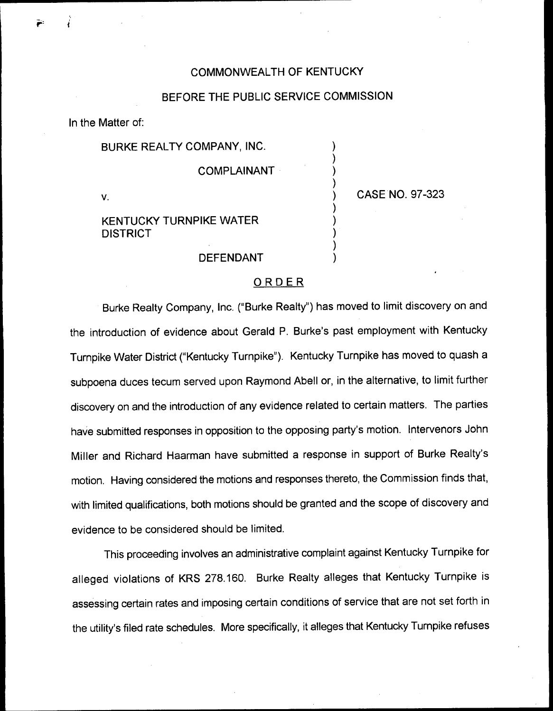### COMMONWEALTH OF KENTUCKY

### BEFORE THE PUBLIC SERVICE COMMISSION

) ) ) )

> ) ) ) ) )

In the Matter of:

### BURKE REALTY COMPANY, INC.

#### COMPLAINANT

V.

) CASE NO. 97-323

# KENTUCKY TURNPIKE WATER DISTRICT

### DEFENDANT

### **ORDER**

Burke Realty Company, Inc. ("Burke Realty" ) has moved to limit discovery on and the introduction of evidence about Gerald P. Burke's past employment with Kentucky Turnpike Water District ("Kentucky Turnpike" ). Kentucky Turnpike has moved to quash a subpoena duces tecum served upon Raymond Abell or, in the alternative, to limit further discovery on and the introduction of any evidence related to certain matters. The parties have submitted responses in opposition to the opposing party's motion. Intervenors John Miller and Richard Haarman have submitted a response in support of Burke Realty's motion. Having considered the motions and responses thereto, the Commission finds that, with limited qualifications, both motions should be granted and the scope of discovery and evidence to be considered should be limited.

This proceeding involves an administrative complaint against Kentucky Turnpike for alleged violations of KRS 278.160. Burke Realty alleges that Kentucky Turnpike is assessing certain rates and imposing certain conditions of service that are not set forth in the utility's filed rate schedules. More specifically, it alleges that Kentucky Turnpike refuses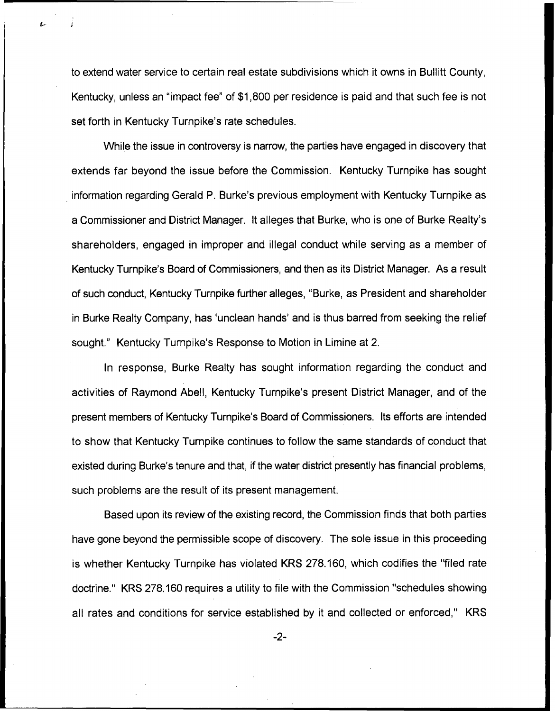to extend water service to certain real estate subdivisions which it owns in Bullitt County, Kentucky, unless an "impact fee" of \$1,800 per residence is paid and that such fee is not set forth in Kentucky Turnpike's rate schedules.

While the issue in controversy is narrow, the parties have engaged in discovery that extends far beyond the issue before the Commission. Kentucky Turnpike has sought information regarding Gerald P. Burke's previous employment with Kentucky Turnpike as a Commissioner and District Manager. It alleges that Burke, who is one of Burke Realty's shareholders, engaged in improper and illegal conduct while serving as a member of Kentucky Turnpike's Board of Commissioners, and then as its District Manager. As a result of such conduct, Kentucky Turnpike further alleges, "Burke, as President and shareholder in Burke Realty Company, has 'unclean hands' and is thus barred from seeking the relief sought." Kentucky Turnpike's Response to Motion in Limine at 2.

In response, Burke Realty has sought information regarding the conduct and activities of Raymond Abell, Kentucky Turnpike's present District Manager, and of the present members of Kentucky Turnpike's Board of Commissioners. Its efforts are intended to show that Kentucky Turnpike continues to follow the same standards of conduct that existed during Burke's tenure and that, if the water district presently has financial problems, such problems are the result of its present management.

Based upon its review of the existing record, the Commission finds that both parties have gone beyond the permissible scope of discovery. The sole issue in this proceeding is whether Kentucky Turnpike has violated KRS 278.160, which codifies the "filed rate doctrine." KRS 278.160 requires a utility to file with the Commission "schedules showing all rates and conditions for service established by it and collected or enforced," KRS

 $-2-$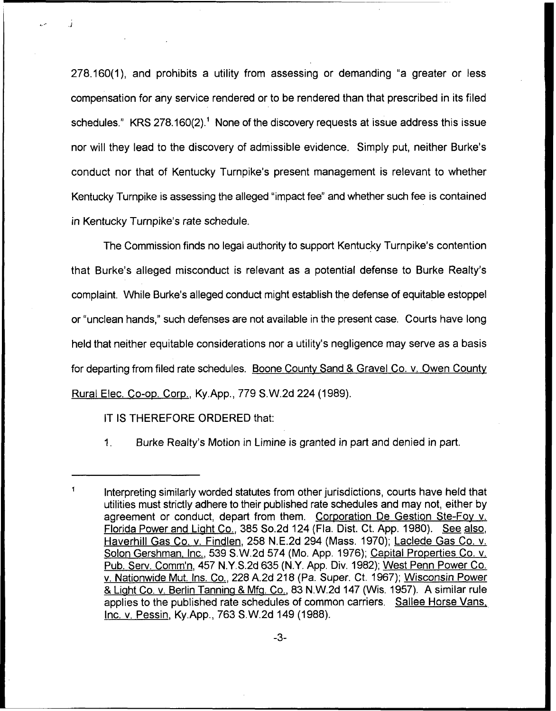278.160(1), and prohibits a utility from assessing or demanding "a greater or less compensation for any service rendered or to be rendered than that prescribed in its filed schedules."  $KRS 278.160(2)$ .<sup>1</sup> None of the discovery requests at issue address this issue nor will they lead to the discovery of admissible evidence. Simply put, neither Burke' conduct nor that of Kentucky Turnpike's present management is relevant to whether Kentucky Turnpike is assessing the alleged "impact fee" and whether such fee is contained in Kentucky Turnpike's rate schedule.

The Commission finds no legal authority to support Kentucky Turnpike's contention that Burke's alleged misconduct is relevant as a potential defense to Burke Realty's complaint. While Burke's alleged conduct might establish the defense of equitable estoppel or "unclean hands," such defenses are not available in the present case. Courts have long held that neither equitable considerations nor a utility's negligence may serve as a basis for departing from filed rate schedules. Boone Countv Sand 8 Gravel Co. v. Owen Countv Rural Elec. Co-oo. Coro., Ky.App., 779 S.W.2d 224 (1989).

IT IS THEREFORE ORDERED that:

1. Burke Realty's Motion in Limine is granted in part and denied in part.

 $\blacksquare$ Interpreting similarly worded statutes from other jurisdictions, courts have held that utilities must strictly adhere to their published rate schedules and may not, either by agreement or conduct, depart from them. Corporation De Gestion Ste-Fov v. Florida Power and Light Co., 385 So.2d 124 (Fla. Dist. Ct. App. 1980). See also, Haverhill Gas Co. v. Findlen, 258 N.E.2d 294 (Mass. 1970); Laclede Gas Co. v. Solon Gershman, Inc., 539 S.W.2d 574 (Mo. App. 1976); Capital Properties Co. v. Pub. Serv. Comm'n, 457 N.Y.S.2d 635 (N.Y. App. Div. 1982); West Penn Power Co. v. Nationwide Mut. Ins. Co., 228 A.2d 218 (Pa. Super. Ct. 1967); Wisconsin Power & Light Co. v. Berlin Tanning & Mfg. Co., 83 N.W.2d 147 (Wis. 1957). A similar rule applies to the published rate schedules of common carriers. Sallee Horse Vans, Inc. v. Pessin, Ky.App., 763 S.W.2d 149 (1988).